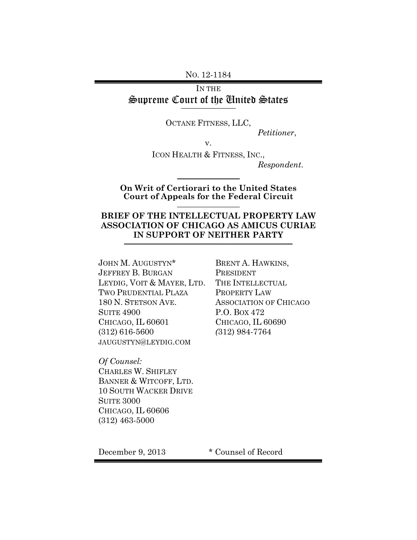NO. 12-1184

# IN THE Supreme Court of the United States **\_\_\_\_\_\_\_\_\_\_\_\_\_\_**

OCTANE FITNESS, LLC,

*Petitioner*,

v.

ICON HEALTH & FITNESS, INC.,

*Respondent*.

#### **On Writ of Certiorari to the United States Court of Appeals for the Federal Circuit** \_\_\_\_\_\_\_\_\_\_\_\_\_\_\_\_

 $\frac{1}{2}$ 

## **BRIEF OF THE INTELLECTUAL PROPERTY LAW ASSOCIATION OF CHICAGO AS AMICUS CURIAE IN SUPPORT OF NEITHER PARTY**

JOHN M. AUGUSTYN\* JEFFREY B. BURGAN LEYDIG, VOIT & MAYER, LTD. TWO PRUDENTIAL PLAZA 180 N. STETSON AVE. SUITE 4900 CHICAGO, IL 60601 (312) 616-5600 JAUGUSTYN@LEYDIG.COM

*Of Counsel:* CHARLES W. SHIFLEY BANNER & WITCOFF, LTD. 10 SOUTH WACKER DRIVE SUITE 3000 CHICAGO, IL 60606 (312) 463-5000

BRENT A. HAWKINS, PRESIDENT THE INTELLECTUAL PROPERTY LAW ASSOCIATION OF CHICAGO P.O. BOX 472 CHICAGO, IL 60690 *(*312) 984-7764

December 9, 2013 \* Counsel of Record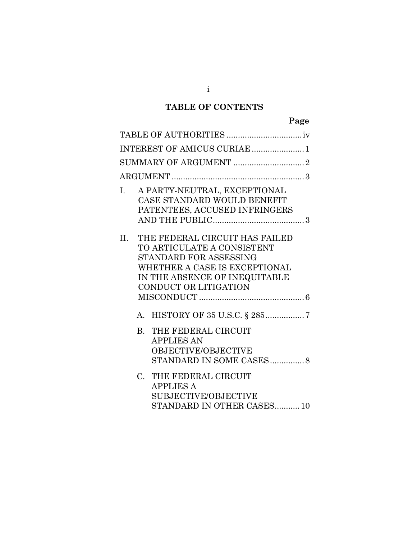# **TABLE OF CONTENTS**

|       | INTEREST OF AMICUS CURIAE  1                                                                                                                                                      |
|-------|-----------------------------------------------------------------------------------------------------------------------------------------------------------------------------------|
|       |                                                                                                                                                                                   |
|       |                                                                                                                                                                                   |
| I.    | A PARTY-NEUTRAL, EXCEPTIONAL<br>CASE STANDARD WOULD BENEFIT<br>PATENTEES, ACCUSED INFRINGERS                                                                                      |
| II. – | THE FEDERAL CIRCUIT HAS FAILED<br>TO ARTICULATE A CONSISTENT<br>STANDARD FOR ASSESSING<br>WHETHER A CASE IS EXCEPTIONAL<br>IN THE ABSENCE OF INEQUITABLE<br>CONDUCT OR LITIGATION |
|       |                                                                                                                                                                                   |
|       | A. HISTORY OF 35 U.S.C. § 2857                                                                                                                                                    |
|       | <b>B. THE FEDERAL CIRCUIT</b><br><b>APPLIES AN</b><br>OBJECTIVE/OBJECTIVE<br>STANDARD IN SOME CASES8                                                                              |
|       | C. THE FEDERAL CIRCUIT<br><b>APPLIES A</b><br><b>SUBJECTIVE/OBJECTIVE</b><br>STANDARD IN OTHER CASES10                                                                            |

i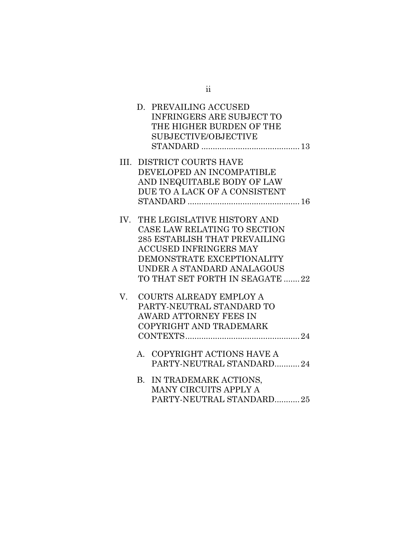|    | D. PREVAILING ACCUSED            |
|----|----------------------------------|
|    | <b>INFRINGERS ARE SUBJECT TO</b> |
|    | THE HIGHER BURDEN OF THE         |
|    | SUBJECTIVE/OBJECTIVE             |
|    |                                  |
|    | <b>III. DISTRICT COURTS HAVE</b> |
|    | DEVELOPED AN INCOMPATIBLE        |
|    | AND INEQUITABLE BODY OF LAW      |
|    | DUE TO A LACK OF A CONSISTENT    |
|    |                                  |
|    | IV. THE LEGISLATIVE HISTORY AND  |
|    | CASE LAW RELATING TO SECTION     |
|    | 285 ESTABLISH THAT PREVAILING    |
|    | <b>ACCUSED INFRINGERS MAY</b>    |
|    | DEMONSTRATE EXCEPTIONALITY       |
|    | UNDER A STANDARD ANALAGOUS       |
|    | TO THAT SET FORTH IN SEAGATE 22  |
|    |                                  |
| V. | COURTS ALREADY EMPLOY A          |
|    | PARTY-NEUTRAL STANDARD TO        |
|    | <b>AWARD ATTORNEY FEES IN</b>    |
|    | COPYRIGHT AND TRADEMARK          |
|    |                                  |
|    | A. COPYRIGHT ACTIONS HAVE A      |
|    | PARTY-NEUTRAL STANDARD24         |
|    | B. IN TRADEMARK ACTIONS,         |
|    | MANY CIRCUITS APPLY A            |
|    | PARTY-NEUTRAL STANDARD25         |
|    |                                  |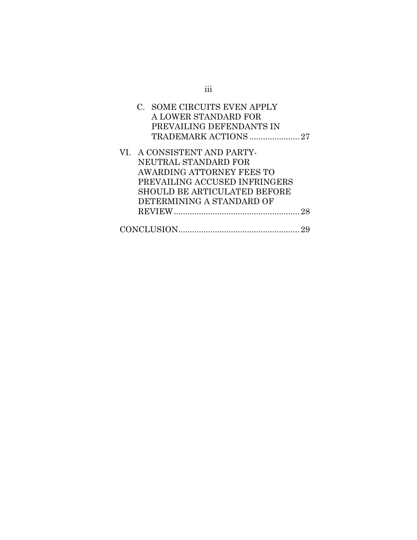| C. SOME CIRCUITS EVEN APPLY<br>A LOWER STANDARD FOR<br>PREVAILING DEFENDANTS IN<br>TRADEMARK ACTIONS 27 |
|---------------------------------------------------------------------------------------------------------|
| VI. A CONSISTENT AND PARTY-                                                                             |
| NEUTRAL STANDARD FOR                                                                                    |
| AWARDING ATTORNEY FEES TO                                                                               |
| PREVAILING ACCUSED INFRINGERS                                                                           |
| <b>SHOULD BE ARTICULATED BEFORE</b>                                                                     |
| DETERMINING A STANDARD OF                                                                               |
| 28                                                                                                      |
|                                                                                                         |

iii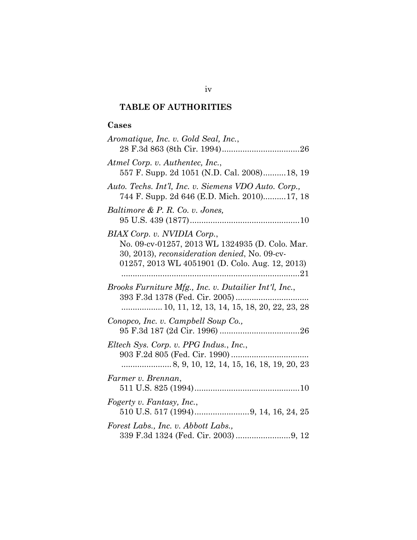# <span id="page-4-0"></span>**TABLE OF AUTHORITIES**

# **Cases**

| Aromatique, Inc. v. Gold Seal, Inc.,                                                                                                                                               |
|------------------------------------------------------------------------------------------------------------------------------------------------------------------------------------|
| Atmel Corp. v. Authentec, Inc.,<br>557 F. Supp. 2d 1051 (N.D. Cal. 2008)18, 19                                                                                                     |
| Auto. Techs. Int'l, Inc. v. Siemens VDO Auto. Corp.,<br>744 F. Supp. 2d 646 (E.D. Mich. 2010)17, 18                                                                                |
| Baltimore & P. R. Co. v. Jones,                                                                                                                                                    |
| BIAX Corp. v. NVIDIA Corp.,<br>No. 09-cv-01257, 2013 WL 1324935 (D. Colo. Mar.<br>30, 2013), reconsideration denied, No. 09-cv-<br>01257, 2013 WL 4051901 (D. Colo. Aug. 12, 2013) |
| Brooks Furniture Mfg., Inc. v. Dutailier Int'l, Inc.,<br>10, 11, 12, 13, 14, 15, 18, 20, 22, 23, 28                                                                                |
| Conopco, Inc. v. Campbell Soup Co.,                                                                                                                                                |
| Eltech Sys. Corp. v. PPG Indus., Inc.,                                                                                                                                             |
| Farmer v. Brennan,                                                                                                                                                                 |
| Fogerty v. Fantasy, Inc.,                                                                                                                                                          |
| Forest Labs., Inc. v. Abbott Labs.,                                                                                                                                                |

# iv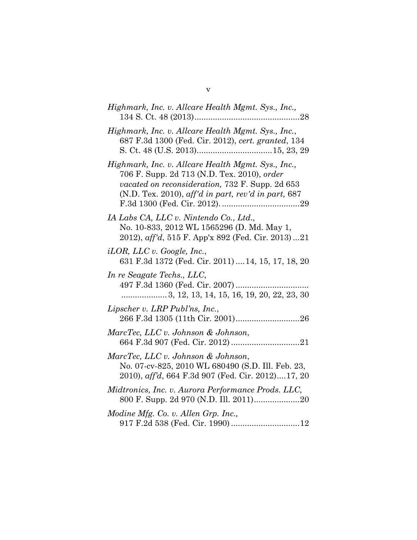| Highmark, Inc. v. Allcare Health Mgmt. Sys., Inc.,                                                                                                                                                            |
|---------------------------------------------------------------------------------------------------------------------------------------------------------------------------------------------------------------|
| Highmark, Inc. v. Allcare Health Mgmt. Sys., Inc.,<br>687 F.3d 1300 (Fed. Cir. 2012), cert. granted, 134                                                                                                      |
| Highmark, Inc. v. Allcare Health Mgmt. Sys., Inc.,<br>706 F. Supp. 2d 713 (N.D. Tex. 2010), order<br>vacated on reconsideration, 732 F. Supp. 2d 653<br>$(N.D.$ Tex. 2010), aff'd in part, rev'd in part, 687 |
| IA Labs CA, LLC v. Nintendo Co., Ltd.,<br>No. 10-833, 2012 WL 1565296 (D. Md. May 1,<br>2012), aff'd, 515 F. App'x 892 (Fed. Cir. 2013)21                                                                     |
| $iLOR$ , LLC v. Google, Inc.,<br>631 F.3d 1372 (Fed. Cir. 2011)  14, 15, 17, 18, 20                                                                                                                           |
| In re Seagate Techs., LLC,<br>497 F.3d 1360 (Fed. Cir. 2007)                                                                                                                                                  |
| Lipscher v. LRP Publ'ns, Inc.,                                                                                                                                                                                |
| MarcTec, LLC v. Johnson & Johnson,                                                                                                                                                                            |
| MarcTec, LLC v. Johnson & Johnson,<br>No. 07-cv-825, 2010 WL 680490 (S.D. Ill. Feb. 23,<br>2010), aff'd, 664 F.3d 907 (Fed. Cir. 2012)17, 20                                                                  |
| Midtronics, Inc. v. Aurora Performance Prods. LLC,                                                                                                                                                            |
| Modine Mfg. Co. v. Allen Grp. Inc.,<br>917 F.2d 538 (Fed. Cir. 1990)  12                                                                                                                                      |

v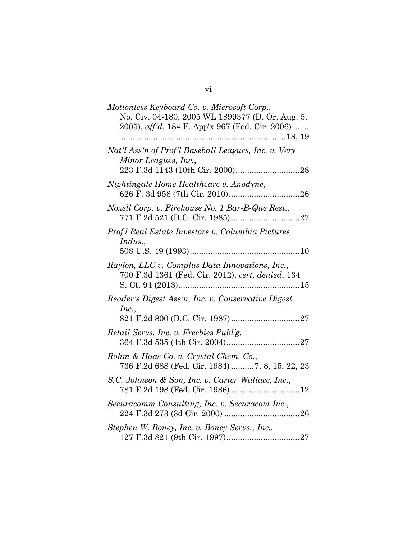| Motionless Keyboard Co. v. Microsoft Corp.,<br>No. Civ. 04-180, 2005 WL 1899377 (D. Or. Aug. 5,<br>2005), aff'd, 184 F. App'x 967 (Fed. Cir. 2006) |
|----------------------------------------------------------------------------------------------------------------------------------------------------|
| Nat'l Ass'n of Prof'l Baseball Leagues, Inc. v. Very<br>Minor Leagues, Inc.,                                                                       |
| Nightingale Home Healthcare v. Anodyne,                                                                                                            |
| Noxell Corp. v. Firehouse No. 1 Bar-B-Que Rest.,                                                                                                   |
| Prof'l Real Estate Investors v. Columbia Pictures<br>Indus.,                                                                                       |
| Raylon, LLC v. Complus Data Innovations, Inc.,<br>700 F.3d 1361 (Fed. Cir. 2012), cert. denied, 134                                                |
| Reader's Digest Ass'n, Inc. v. Conservative Digest,<br>Inc.,                                                                                       |
| Retail Servs. Inc. v. Freebies Publ'g,                                                                                                             |
| Rohm & Haas Co. v. Crystal Chem. Co.,<br>736 F.2d 688 (Fed. Cir. 1984)  7, 8, 15, 22, 23                                                           |
| S.C. Johnson & Son, Inc. v. Carter-Wallace, Inc.,                                                                                                  |
| Securacomm Consulting, Inc. v. Securacom Inc.,                                                                                                     |
| Stephen W. Boney, Inc. v. Boney Servs., Inc.,                                                                                                      |

# vi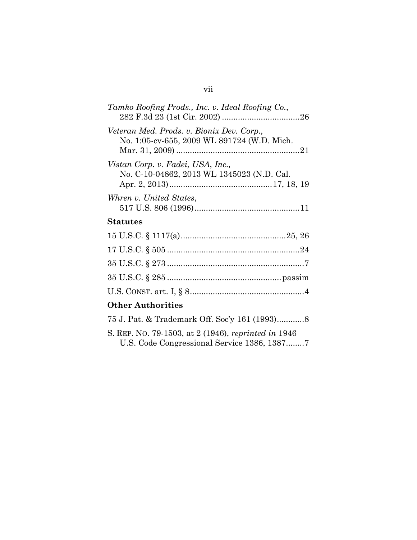| Tamko Roofing Prods., Inc. v. Ideal Roofing Co.,                                         |
|------------------------------------------------------------------------------------------|
| Veteran Med. Prods. v. Bionix Dev. Corp.,<br>No. 1:05-cv-655, 2009 WL 891724 (W.D. Mich. |
| Vistan Corp. v. Fadei, USA, Inc.,<br>No. C-10-04862, 2013 WL 1345023 (N.D. Cal.          |
| Whren v. United States,                                                                  |
| Statutes                                                                                 |
|                                                                                          |
|                                                                                          |
|                                                                                          |
|                                                                                          |

# **Other Authorities**

| S. REP. No. 79-1503, at 2 (1946), reprinted in 1946 |
|-----------------------------------------------------|
|                                                     |

35 U.S.C. § 285 ..................................................passim

U.S. CONST. art. I, § 8..................................................4

# vii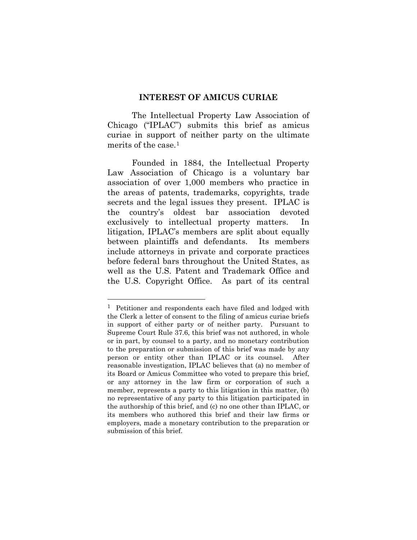#### **INTEREST OF AMICUS CURIAE**

<span id="page-8-0"></span>The Intellectual Property Law Association of Chicago ("IPLAC") submits this brief as amicus curiae in support of neither party on the ultimate merits of the case.<sup>[1](#page-8-1)</sup>

Founded in 1884, the Intellectual Property Law Association of Chicago is a voluntary bar association of over 1,000 members who practice in the areas of patents, trademarks, copyrights, trade secrets and the legal issues they present. IPLAC is the country's oldest bar association devoted exclusively to intellectual property matters. In litigation, IPLAC's members are split about equally between plaintiffs and defendants. Its members include attorneys in private and corporate practices before federal bars throughout the United States, as well as the U.S. Patent and Trademark Office and the U.S. Copyright Office. As part of its central

<span id="page-8-1"></span><sup>&</sup>lt;sup>1</sup> Petitioner and respondents each have filed and lodged with the Clerk a letter of consent to the filing of amicus curiae briefs in support of either party or of neither party. Pursuant to Supreme Court Rule 37.6, this brief was not authored, in whole or in part, by counsel to a party, and no monetary contribution to the preparation or submission of this brief was made by any person or entity other than IPLAC or its counsel. After reasonable investigation, IPLAC believes that (a) no member of its Board or Amicus Committee who voted to prepare this brief, or any attorney in the law firm or corporation of such a member, represents a party to this litigation in this matter, (b) no representative of any party to this litigation participated in the authorship of this brief, and (c) no one other than IPLAC, or its members who authored this brief and their law firms or employers, made a monetary contribution to the preparation or submission of this brief.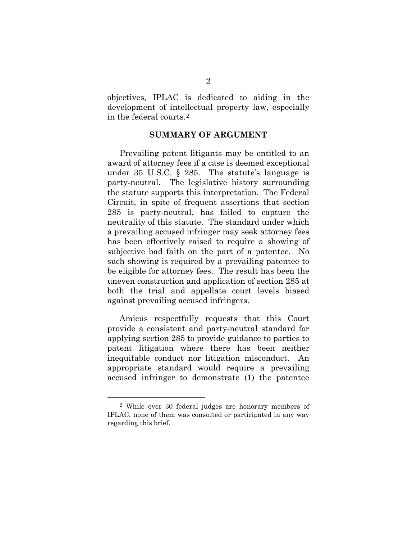objectives, IPLAC is dedicated to aiding in the development of intellectual property law, especially in the federal courts.[2](#page-9-1)

#### **SUMMARY OF ARGUMENT**

<span id="page-9-0"></span>Prevailing patent litigants may be entitled to an award of attorney fees if a case is deemed exceptional under 35 U.S.C. § 285. The statute's language is party-neutral. The legislative history surrounding the statute supports this interpretation. The Federal Circuit, in spite of frequent assertions that section 285 is party-neutral, has failed to capture the neutrality of this statute. The standard under which a prevailing accused infringer may seek attorney fees has been effectively raised to require a showing of subjective bad faith on the part of a patentee. No such showing is required by a prevailing patentee to be eligible for attorney fees. The result has been the uneven construction and application of section 285 at both the trial and appellate court levels biased against prevailing accused infringers.

Amicus respectfully requests that this Court provide a consistent and party-neutral standard for applying section 285 to provide guidance to parties to patent litigation where there has been neither inequitable conduct nor litigation misconduct. An appropriate standard would require a prevailing accused infringer to demonstrate (1) the patentee

<span id="page-9-1"></span> <sup>2</sup> While over 30 federal judges are honorary members of IPLAC, none of them was consulted or participated in any way regarding this brief.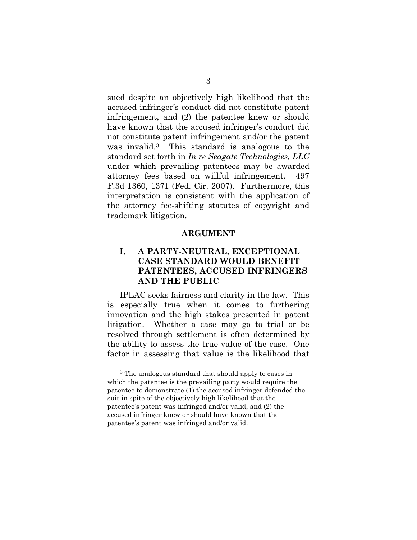sued despite an objectively high likelihood that the accused infringer's conduct did not constitute patent infringement, and (2) the patentee knew or should have known that the accused infringer's conduct did not constitute patent infringement and/or the patent was invalid.[3](#page-10-2) This standard is analogous to the standard set forth in *In re Seagate Technologies, LLC* under which prevailing patentees may be awarded attorney fees based on willful infringement. 497 F.3d 1360, 1371 (Fed. Cir. 2007). Furthermore, this interpretation is consistent with the application of the attorney fee-shifting statutes of copyright and trademark litigation.

#### **ARGUMENT**

## <span id="page-10-1"></span><span id="page-10-0"></span>**I. A PARTY-NEUTRAL, EXCEPTIONAL CASE STANDARD WOULD BENEFIT PATENTEES, ACCUSED INFRINGERS AND THE PUBLIC**

IPLAC seeks fairness and clarity in the law. This is especially true when it comes to furthering innovation and the high stakes presented in patent litigation. Whether a case may go to trial or be resolved through settlement is often determined by the ability to assess the true value of the case. One factor in assessing that value is the likelihood that

<span id="page-10-2"></span> <sup>3</sup> The analogous standard that should apply to cases in which the patentee is the prevailing party would require the patentee to demonstrate (1) the accused infringer defended the suit in spite of the objectively high likelihood that the patentee's patent was infringed and/or valid, and (2) the accused infringer knew or should have known that the patentee's patent was infringed and/or valid.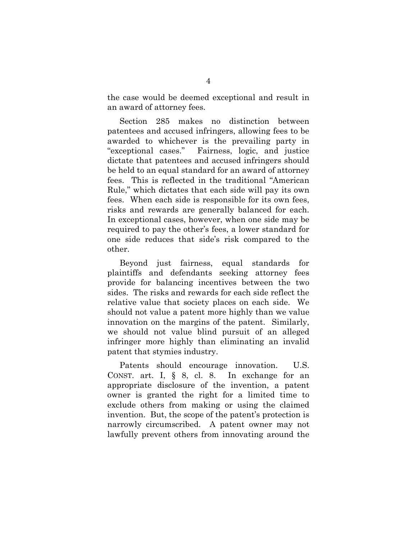the case would be deemed exceptional and result in an award of attorney fees.

Section 285 makes no distinction between patentees and accused infringers, allowing fees to be awarded to whichever is the prevailing party in "exceptional cases." Fairness, logic, and justice dictate that patentees and accused infringers should be held to an equal standard for an award of attorney fees. This is reflected in the traditional "American Rule," which dictates that each side will pay its own fees. When each side is responsible for its own fees, risks and rewards are generally balanced for each. In exceptional cases, however, when one side may be required to pay the other's fees, a lower standard for one side reduces that side's risk compared to the other.

Beyond just fairness, equal standards for plaintiffs and defendants seeking attorney fees provide for balancing incentives between the two sides. The risks and rewards for each side reflect the relative value that society places on each side. We should not value a patent more highly than we value innovation on the margins of the patent. Similarly, we should not value blind pursuit of an alleged infringer more highly than eliminating an invalid patent that stymies industry.

Patents should encourage innovation. U.S. CONST. art. I, § 8, cl. 8. In exchange for an appropriate disclosure of the invention, a patent owner is granted the right for a limited time to exclude others from making or using the claimed invention. But, the scope of the patent's protection is narrowly circumscribed. A patent owner may not lawfully prevent others from innovating around the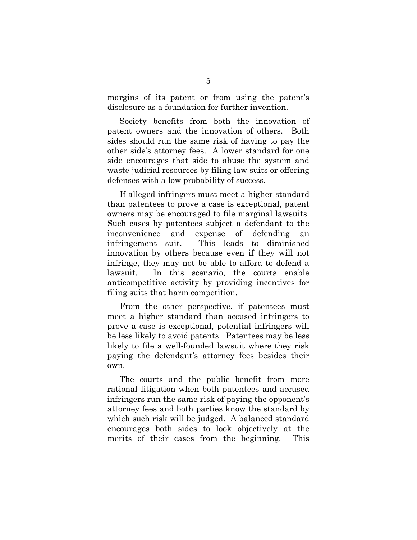margins of its patent or from using the patent's disclosure as a foundation for further invention.

Society benefits from both the innovation of patent owners and the innovation of others. Both sides should run the same risk of having to pay the other side's attorney fees. A lower standard for one side encourages that side to abuse the system and waste judicial resources by filing law suits or offering defenses with a low probability of success.

If alleged infringers must meet a higher standard than patentees to prove a case is exceptional, patent owners may be encouraged to file marginal lawsuits. Such cases by patentees subject a defendant to the inconvenience and expense of defending an infringement suit. This leads to diminished innovation by others because even if they will not infringe, they may not be able to afford to defend a lawsuit. In this scenario, the courts enable anticompetitive activity by providing incentives for filing suits that harm competition.

From the other perspective, if patentees must meet a higher standard than accused infringers to prove a case is exceptional, potential infringers will be less likely to avoid patents. Patentees may be less likely to file a well-founded lawsuit where they risk paying the defendant's attorney fees besides their own.

The courts and the public benefit from more rational litigation when both patentees and accused infringers run the same risk of paying the opponent's attorney fees and both parties know the standard by which such risk will be judged. A balanced standard encourages both sides to look objectively at the merits of their cases from the beginning. This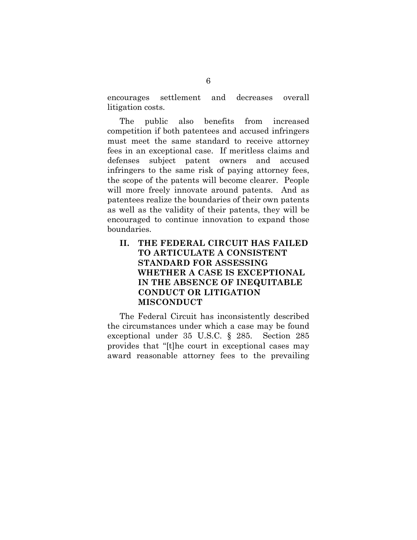encourages settlement and decreases overall litigation costs.

The public also benefits from increased competition if both patentees and accused infringers must meet the same standard to receive attorney fees in an exceptional case. If meritless claims and defenses subject patent owners and accused infringers to the same risk of paying attorney fees, the scope of the patents will become clearer. People will more freely innovate around patents. And as patentees realize the boundaries of their own patents as well as the validity of their patents, they will be encouraged to continue innovation to expand those boundaries.

# <span id="page-13-0"></span>**II. THE FEDERAL CIRCUIT HAS FAILED TO ARTICULATE A CONSISTENT STANDARD FOR ASSESSING WHETHER A CASE IS EXCEPTIONAL IN THE ABSENCE OF INEQUITABLE CONDUCT OR LITIGATION MISCONDUCT**

The Federal Circuit has inconsistently described the circumstances under which a case may be found exceptional under 35 U.S.C. § 285. Section 285 provides that "[t]he court in exceptional cases may award reasonable attorney fees to the prevailing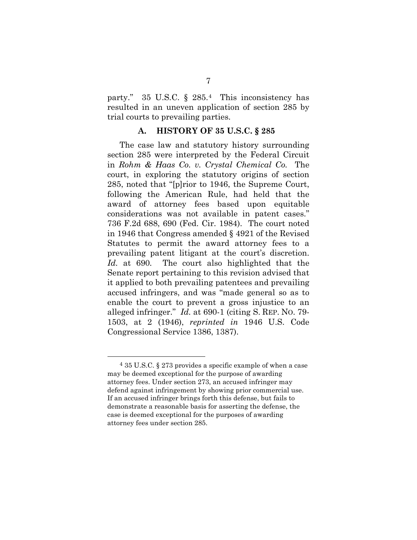party." 35 U.S.C. § 285.[4](#page-14-1) This inconsistency has resulted in an uneven application of section 285 by trial courts to prevailing parties.

#### **A. HISTORY OF 35 U.S.C. § 285**

<span id="page-14-0"></span>The case law and statutory history surrounding section 285 were interpreted by the Federal Circuit in *Rohm & Haas Co. v. Crystal Chemical Co.* The court, in exploring the statutory origins of section 285, noted that "[p]rior to 1946, the Supreme Court, following the American Rule, had held that the award of attorney fees based upon equitable considerations was not available in patent cases." 736 F.2d 688, 690 (Fed. Cir. 1984). The court noted in 1946 that Congress amended § 4921 of the Revised Statutes to permit the award attorney fees to a prevailing patent litigant at the court's discretion. *Id.* at 690*.* The court also highlighted that the Senate report pertaining to this revision advised that it applied to both prevailing patentees and prevailing accused infringers, and was "made general so as to enable the court to prevent a gross injustice to an alleged infringer." *Id.* at 690-1 (citing S. REP. NO. 79- 1503, at 2 (1946), *reprinted in* 1946 U.S. Code Congressional Service 1386, 1387).

<span id="page-14-1"></span> $435$  U.S.C.  $\S 273$  provides a specific example of when a case may be deemed exceptional for the purpose of awarding attorney fees. Under section 273, an accused infringer may defend against infringement by showing prior commercial use. If an accused infringer brings forth this defense, but fails to demonstrate a reasonable basis for asserting the defense, the case is deemed exceptional for the purposes of awarding attorney fees under section 285.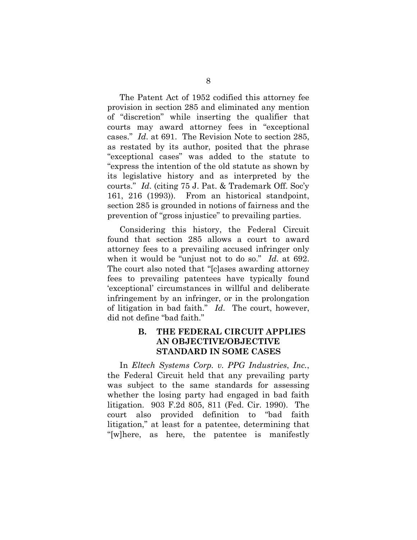The Patent Act of 1952 codified this attorney fee provision in section 285 and eliminated any mention of "discretion" while inserting the qualifier that courts may award attorney fees in "exceptional cases." *Id*. at 691. The Revision Note to section 285, as restated by its author, posited that the phrase "exceptional cases" was added to the statute to "express the intention of the old statute as shown by its legislative history and as interpreted by the courts." *Id*. (citing 75 J. Pat. & Trademark Off. Soc'y 161, 216 (1993)). From an historical standpoint, section 285 is grounded in notions of fairness and the prevention of "gross injustice" to prevailing parties.

Considering this history, the Federal Circuit found that section 285 allows a court to award attorney fees to a prevailing accused infringer only when it would be "unjust not to do so." *Id.* at 692. The court also noted that "[c]ases awarding attorney fees to prevailing patentees have typically found 'exceptional' circumstances in willful and deliberate infringement by an infringer, or in the prolongation of litigation in bad faith." *Id*. The court, however, did not define "bad faith."

### <span id="page-15-0"></span>**B. THE FEDERAL CIRCUIT APPLIES AN OBJECTIVE/OBJECTIVE STANDARD IN SOME CASES**

In *Eltech Systems Corp. v. PPG Industries*, *Inc.*, the Federal Circuit held that any prevailing party was subject to the same standards for assessing whether the losing party had engaged in bad faith litigation. 903 F.2d 805, 811 (Fed. Cir. 1990). The court also provided definition to "bad faith litigation," at least for a patentee, determining that "[w]here, as here, the patentee is manifestly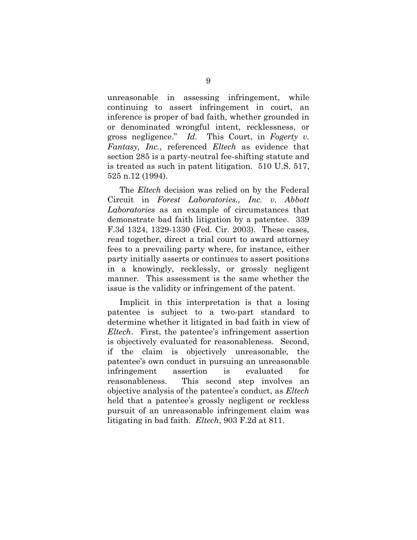unreasonable in assessing infringement, while continuing to assert infringement in court, an inference is proper of bad faith, whether grounded in or denominated wrongful intent, recklessness, or gross negligence." *Id*. This Court, in *Fogerty v. Fantasy, Inc.*, referenced *Eltech* as evidence that section 285 is a party-neutral fee-shifting statute and is treated as such in patent litigation. 510 U.S. 517, 525 n.12 (1994).

The *Eltech* decision was relied on by the Federal Circuit in *Forest Laboratories., Inc. v. Abbott Laboratories* as an example of circumstances that demonstrate bad faith litigation by a patentee. 339 F.3d 1324, 1329-1330 (Fed. Cir. 2003). These cases, read together, direct a trial court to award attorney fees to a prevailing party where, for instance, either party initially asserts or continues to assert positions in a knowingly, recklessly, or grossly negligent manner. This assessment is the same whether the issue is the validity or infringement of the patent.

Implicit in this interpretation is that a losing patentee is subject to a two-part standard to determine whether it litigated in bad faith in view of *Eltech*. First, the patentee's infringement assertion is objectively evaluated for reasonableness. Second, if the claim is objectively unreasonable, the patentee's own conduct in pursuing an unreasonable infringement assertion is evaluated for reasonableness. This second step involves an objective analysis of the patentee's conduct, as *Eltech* held that a patentee's grossly negligent or reckless pursuit of an unreasonable infringement claim was litigating in bad faith. *Eltech*, 903 F.2d at 811.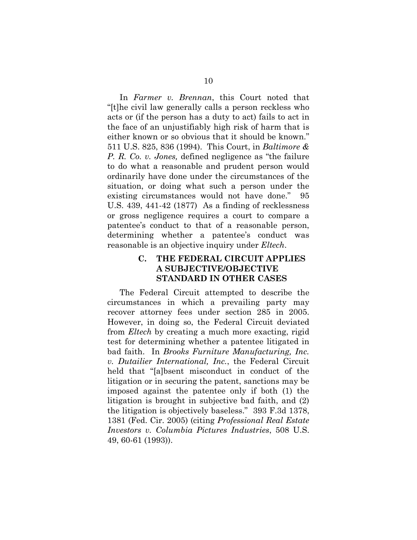In *Farmer v. Brennan*, this Court noted that "[t]he civil law generally calls a person reckless who acts or (if the person has a duty to act) fails to act in the face of an unjustifiably high risk of harm that is either known or so obvious that it should be known." 511 U.S. 825, 836 (1994). This Court, in *Baltimore & P. R. Co. v. Jones,* defined negligence as "the failure to do what a reasonable and prudent person would ordinarily have done under the circumstances of the situation, or doing what such a person under the existing circumstances would not have done." 95 U.S. 439, 441-42 (1877) As a finding of recklessness or gross negligence requires a court to compare a patentee's conduct to that of a reasonable person, determining whether a patentee's conduct was reasonable is an objective inquiry under *Eltech*.

#### <span id="page-17-0"></span>**C. THE FEDERAL CIRCUIT APPLIES A SUBJECTIVE/OBJECTIVE STANDARD IN OTHER CASES**

The Federal Circuit attempted to describe the circumstances in which a prevailing party may recover attorney fees under section 285 in 2005. However, in doing so, the Federal Circuit deviated from *Eltech* by creating a much more exacting, rigid test for determining whether a patentee litigated in bad faith. In *Brooks Furniture Manufacturing, Inc. v. Dutailier International, Inc.*, the Federal Circuit held that "[a]bsent misconduct in conduct of the litigation or in securing the patent, sanctions may be imposed against the patentee only if both (1) the litigation is brought in subjective bad faith, and (2) the litigation is objectively baseless." 393 F.3d 1378, 1381 (Fed. Cir. 2005) (citing *Professional Real Estate Investors v. Columbia Pictures Industries*, 508 U.S. 49, 60-61 (1993)).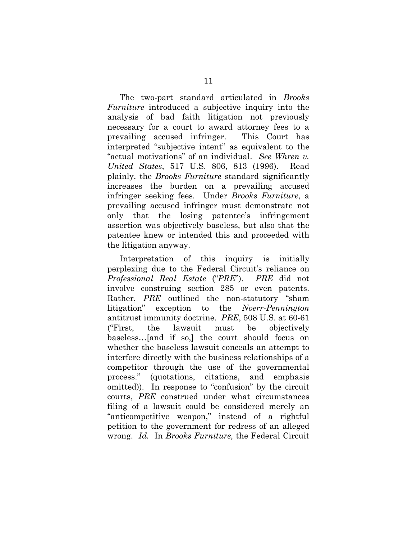The two-part standard articulated in *Brooks Furniture* introduced a subjective inquiry into the analysis of bad faith litigation not previously necessary for a court to award attorney fees to a prevailing accused infringer. This Court has interpreted "subjective intent" as equivalent to the "actual motivations" of an individual. *See Whren v. United States*, 517 U.S. 806, 813 (1996). Read plainly, the *Brooks Furniture* standard significantly increases the burden on a prevailing accused infringer seeking fees. Under *Brooks Furniture*, a prevailing accused infringer must demonstrate not only that the losing patentee's infringement assertion was objectively baseless, but also that the patentee knew or intended this and proceeded with the litigation anyway.

Interpretation of this inquiry is initially perplexing due to the Federal Circuit's reliance on *Professional Real Estate* ("*PRE*"). *PRE* did not involve construing section 285 or even patents. Rather, *PRE* outlined the non-statutory "sham litigation" exception to the *Noerr-Pennington* antitrust immunity doctrine. *PRE*, 508 U.S. at 60-61 ("First, the lawsuit must be objectively baseless…[and if so,] the court should focus on whether the baseless lawsuit conceals an attempt to interfere directly with the business relationships of a competitor through the use of the governmental process." (quotations, citations, and emphasis omitted)). In response to "confusion" by the circuit courts, *PRE* construed under what circumstances filing of a lawsuit could be considered merely an "anticompetitive weapon," instead of a rightful petition to the government for redress of an alleged wrong. *Id.* In *Brooks Furniture,* the Federal Circuit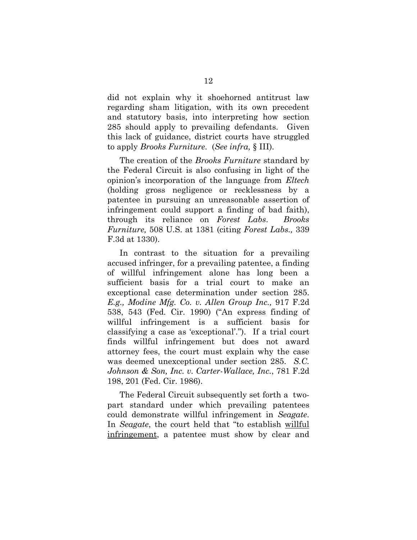did not explain why it shoehorned antitrust law regarding sham litigation, with its own precedent and statutory basis, into interpreting how section 285 should apply to prevailing defendants. Given this lack of guidance, district courts have struggled to apply *Brooks Furniture*. (*See infra,* § III).

The creation of the *Brooks Furniture* standard by the Federal Circuit is also confusing in light of the opinion's incorporation of the language from *Eltech* (holding gross negligence or recklessness by a patentee in pursuing an unreasonable assertion of infringement could support a finding of bad faith), through its reliance on *Forest Labs*. *Brooks Furniture,* 508 U.S. at 1381 (citing *Forest Labs.,* 339 F.3d at 1330).

In contrast to the situation for a prevailing accused infringer, for a prevailing patentee, a finding of willful infringement alone has long been a sufficient basis for a trial court to make an exceptional case determination under section 285. *E.g., Modine Mfg. Co. v. Allen Group Inc.,* 917 F.2d 538, 543 (Fed. Cir. 1990) ("An express finding of willful infringement is a sufficient basis for classifying a case as 'exceptional'."). If a trial court finds willful infringement but does not award attorney fees, the court must explain why the case was deemed unexceptional under section 285. *S.C. Johnson & Son, Inc. v. Carter-Wallace, Inc.*, 781 F.2d 198, 201 (Fed. Cir. 1986).

The Federal Circuit subsequently set forth a twopart standard under which prevailing patentees could demonstrate willful infringement in *Seagate*. In *Seagate*, the court held that "to establish willful infringement, a patentee must show by clear and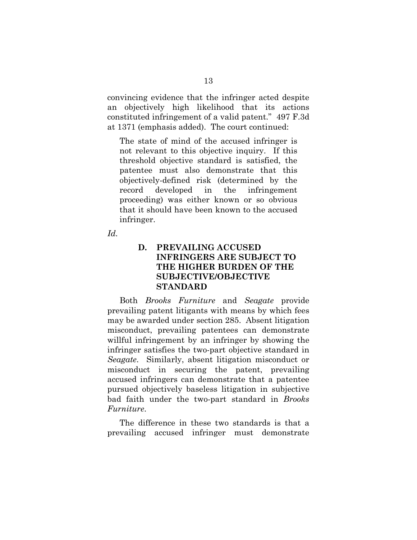convincing evidence that the infringer acted despite an objectively high likelihood that its actions constituted infringement of a valid patent."497 F.3d at 1371 (emphasis added). The court continued:

The state of mind of the accused infringer is not relevant to this objective inquiry. If this threshold objective standard is satisfied, the patentee must also demonstrate that this objectively-defined risk (determined by the record developed in the infringement proceeding) was either known or so obvious that it should have been known to the accused infringer.

<span id="page-20-0"></span>*Id.*

### **D. PREVAILING ACCUSED INFRINGERS ARE SUBJECT TO THE HIGHER BURDEN OF THE SUBJECTIVE/OBJECTIVE STANDARD**

Both *Brooks Furniture* and *Seagate* provide prevailing patent litigants with means by which fees may be awarded under section 285. Absent litigation misconduct, prevailing patentees can demonstrate willful infringement by an infringer by showing the infringer satisfies the two-part objective standard in *Seagate*. Similarly, absent litigation misconduct or misconduct in securing the patent, prevailing accused infringers can demonstrate that a patentee pursued objectively baseless litigation in subjective bad faith under the two-part standard in *Brooks Furniture*.

The difference in these two standards is that a prevailing accused infringer must demonstrate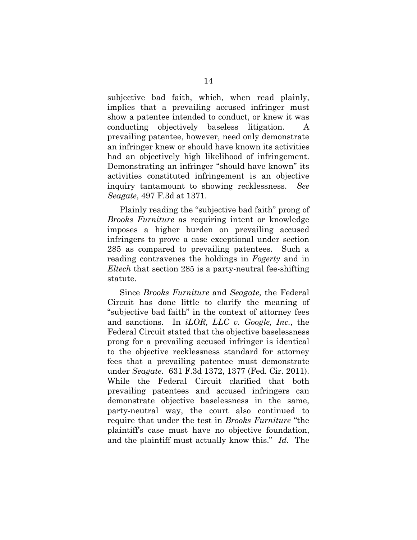subjective bad faith, which, when read plainly, implies that a prevailing accused infringer must show a patentee intended to conduct, or knew it was conducting objectively baseless litigation. A prevailing patentee, however, need only demonstrate an infringer knew or should have known its activities had an objectively high likelihood of infringement. Demonstrating an infringer "should have known" its activities constituted infringement is an objective inquiry tantamount to showing recklessness. *See Seagate*, 497 F.3d at 1371.

Plainly reading the "subjective bad faith" prong of *Brooks Furniture* as requiring intent or knowledge imposes a higher burden on prevailing accused infringers to prove a case exceptional under section 285 as compared to prevailing patentees. Such a reading contravenes the holdings in *Fogerty* and in *Eltech* that section 285 is a party-neutral fee-shifting statute.

Since *Brooks Furniture* and *Seagate*, the Federal Circuit has done little to clarify the meaning of "subjective bad faith" in the context of attorney fees and sanctions. In *iLOR, LLC v. Google, Inc.*, the Federal Circuit stated that the objective baselessness prong for a prevailing accused infringer is identical to the objective recklessness standard for attorney fees that a prevailing patentee must demonstrate under *Seagate*. 631 F.3d 1372, 1377 (Fed. Cir. 2011). While the Federal Circuit clarified that both prevailing patentees and accused infringers can demonstrate objective baselessness in the same, party-neutral way, the court also continued to require that under the test in *Brooks Furniture* "the plaintiff's case must have no objective foundation, and the plaintiff must actually know this." *Id.* The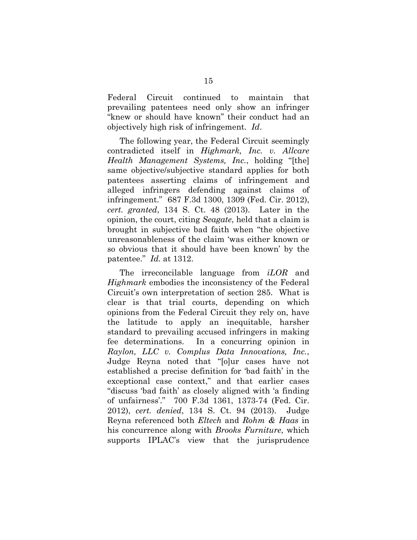Federal Circuit continued to maintain that prevailing patentees need only show an infringer "knew or should have known" their conduct had an objectively high risk of infringement. *Id*.

The following year, the Federal Circuit seemingly contradicted itself in *Highmark, Inc. v. Allcare Health Management Systems, Inc.*, holding "[the] same objective/subjective standard applies for both patentees asserting claims of infringement and alleged infringers defending against claims of infringement." 687 F.3d 1300, 1309 (Fed. Cir. 2012), *cert. granted*, 134 S. Ct. 48 (2013). Later in the opinion, the court, citing *Seagate*, held that a claim is brought in subjective bad faith when "the objective unreasonableness of the claim 'was either known or so obvious that it should have been known' by the patentee." *Id.* at 1312.

The irreconcilable language from *iLOR* and *Highmark* embodies the inconsistency of the Federal Circuit's own interpretation of section 285. What is clear is that trial courts, depending on which opinions from the Federal Circuit they rely on, have the latitude to apply an inequitable, harsher standard to prevailing accused infringers in making fee determinations. In a concurring opinion in *Raylon, LLC v. Complus Data Innovations, Inc.*, Judge Reyna noted that "[o]ur cases have not established a precise definition for 'bad faith' in the exceptional case context," and that earlier cases "discuss 'bad faith' as closely aligned with 'a finding of unfairness'." 700 F.3d 1361, 1373-74 (Fed. Cir. 2012), *cert. denied*, 134 S. Ct. 94 (2013). Judge Reyna referenced both *Eltech* and *Rohm & Haas* in his concurrence along with *Brooks Furniture*, which supports IPLAC's view that the jurisprudence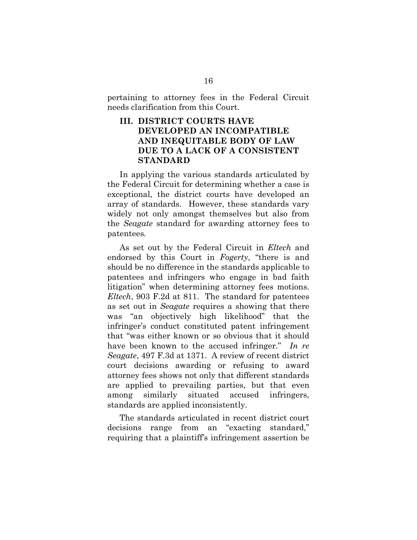pertaining to attorney fees in the Federal Circuit needs clarification from this Court.

## <span id="page-23-0"></span>**III. DISTRICT COURTS HAVE DEVELOPED AN INCOMPATIBLE AND INEQUITABLE BODY OF LAW DUE TO A LACK OF A CONSISTENT STANDARD**

In applying the various standards articulated by the Federal Circuit for determining whether a case is exceptional, the district courts have developed an array of standards. However, these standards vary widely not only amongst themselves but also from the *Seagate* standard for awarding attorney fees to patentees*.*

As set out by the Federal Circuit in *Eltech* and endorsed by this Court in *Fogerty*, "there is and should be no difference in the standards applicable to patentees and infringers who engage in bad faith litigation" when determining attorney fees motions. *Eltech*, 903 F.2d at 811. The standard for patentees as set out in *Seagate* requires a showing that there was "an objectively high likelihood" that the infringer's conduct constituted patent infringement that "was either known or so obvious that it should have been known to the accused infringer." *In re Seagate*, 497 F.3d at 1371. A review of recent district court decisions awarding or refusing to award attorney fees shows not only that different standards are applied to prevailing parties, but that even among similarly situated accused infringers, standards are applied inconsistently.

The standards articulated in recent district court decisions range from an "exacting standard," requiring that a plaintiff's infringement assertion be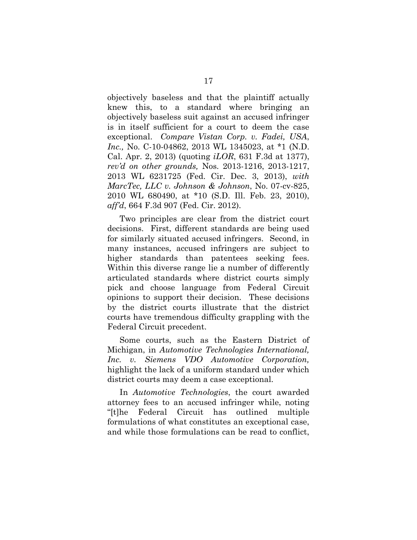objectively baseless and that the plaintiff actually knew this, to a standard where bringing an objectively baseless suit against an accused infringer is in itself sufficient for a court to deem the case exceptional. *Compare Vistan Corp. v. Fadei, USA*, *Inc.,* No. C-10-04862, 2013 WL 1345023, at \*1 (N.D. Cal. Apr. 2, 2013) (quoting *iLOR*, 631 F.3d at 1377), *rev'd on other grounds,* Nos. 2013-1216, 2013-1217, 2013 WL 6231725 (Fed. Cir. Dec. 3, 2013), *with MarcTec, LLC v. Johnson & Johnson*, No. 07-cv-825, 2010 WL 680490, at \*10 (S.D. Ill. Feb. 23, 2010), *aff'd*, 664 F.3d 907 (Fed. Cir. 2012).

Two principles are clear from the district court decisions. First, different standards are being used for similarly situated accused infringers. Second, in many instances, accused infringers are subject to higher standards than patentees seeking fees. Within this diverse range lie a number of differently articulated standards where district courts simply pick and choose language from Federal Circuit opinions to support their decision. These decisions by the district courts illustrate that the district courts have tremendous difficulty grappling with the Federal Circuit precedent.

Some courts, such as the Eastern District of Michigan, in *Automotive Technologies International, Inc. v. Siemens VDO Automotive Corporation,* highlight the lack of a uniform standard under which district courts may deem a case exceptional.

In *Automotive Technologies*, the court awarded attorney fees to an accused infringer while, noting "[t]he Federal Circuit has outlined multiple formulations of what constitutes an exceptional case, and while those formulations can be read to conflict,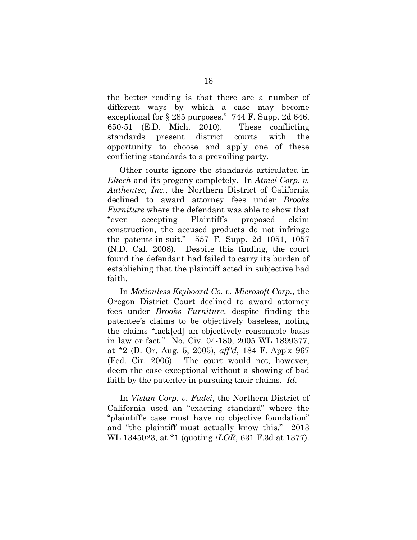the better reading is that there are a number of different ways by which a case may become exceptional for § 285 purposes."744 F. Supp. 2d 646, 650-51 (E.D. Mich. 2010). These conflicting standards present district courts with the opportunity to choose and apply one of these conflicting standards to a prevailing party.

Other courts ignore the standards articulated in *Eltech* and its progeny completely. In *Atmel Corp. v. Authentec, Inc.*, the Northern District of California declined to award attorney fees under *Brooks Furniture* where the defendant was able to show that "even accepting Plaintiff's proposed claim construction, the accused products do not infringe the patents-in-suit." 557 F. Supp. 2d 1051, 1057 (N.D. Cal. 2008)*.* Despite this finding, the court found the defendant had failed to carry its burden of establishing that the plaintiff acted in subjective bad faith.

In *Motionless Keyboard Co. v. Microsoft Corp.*, the Oregon District Court declined to award attorney fees under *Brooks Furniture*, despite finding the patentee's claims to be objectively baseless, noting the claims "lack[ed] an objectively reasonable basis in law or fact." No. Civ. 04-180, 2005 WL 1899377, at \*2 (D. Or. Aug. 5, 2005), *aff'd*, 184 F. App'x 967 (Fed. Cir. 2006). The court would not, however, deem the case exceptional without a showing of bad faith by the patentee in pursuing their claims. *Id*.

In *Vistan Corp. v. Fadei*, the Northern District of California used an "exacting standard" where the "plaintiff's case must have no objective foundation" and "the plaintiff must actually know this." 2013 WL 1345023, at \*1 (quoting *iLOR*, 631 F.3d at 1377).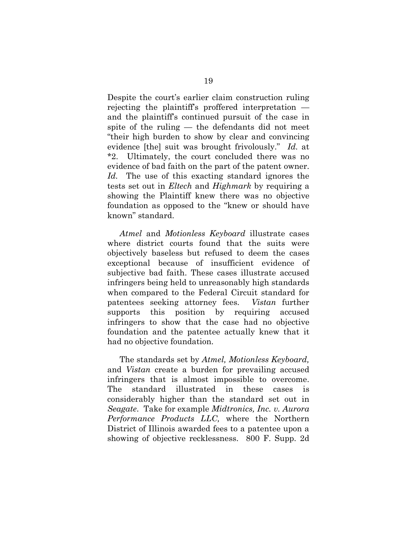Despite the court's earlier claim construction ruling rejecting the plaintiff's proffered interpretation and the plaintiff's continued pursuit of the case in spite of the ruling — the defendants did not meet "their high burden to show by clear and convincing evidence [the] suit was brought frivolously." *Id.* at \*2. Ultimately, the court concluded there was no evidence of bad faith on the part of the patent owner. *Id.* The use of this exacting standard ignores the tests set out in *Eltech* and *Highmark* by requiring a showing the Plaintiff knew there was no objective foundation as opposed to the "knew or should have known" standard.

*Atmel* and *Motionless Keyboard* illustrate cases where district courts found that the suits were objectively baseless but refused to deem the cases exceptional because of insufficient evidence of subjective bad faith. These cases illustrate accused infringers being held to unreasonably high standards when compared to the Federal Circuit standard for patentees seeking attorney fees. *Vistan* further supports this position by requiring accused infringers to show that the case had no objective foundation and the patentee actually knew that it had no objective foundation.

The standards set by *Atmel, Motionless Keyboard,*  and *Vistan* create a burden for prevailing accused infringers that is almost impossible to overcome. The standard illustrated in these cases is considerably higher than the standard set out in *Seagate*. Take for example *Midtronics, Inc. v. Aurora Performance Products LLC,* where the Northern District of Illinois awarded fees to a patentee upon a showing of objective recklessness. 800 F. Supp. 2d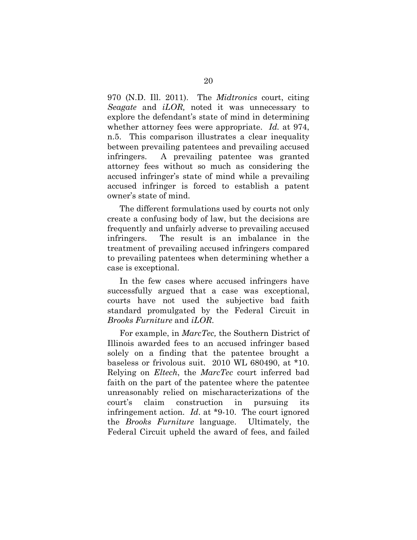970 (N.D. Ill. 2011). The *Midtronics* court, citing *Seagate* and *iLOR,* noted it was unnecessary to explore the defendant's state of mind in determining whether attorney fees were appropriate. *Id.* at 974, n.5. This comparison illustrates a clear inequality between prevailing patentees and prevailing accused infringers. A prevailing patentee was granted attorney fees without so much as considering the accused infringer's state of mind while a prevailing accused infringer is forced to establish a patent owner's state of mind.

The different formulations used by courts not only create a confusing body of law, but the decisions are frequently and unfairly adverse to prevailing accused infringers. The result is an imbalance in the treatment of prevailing accused infringers compared to prevailing patentees when determining whether a case is exceptional.

In the few cases where accused infringers have successfully argued that a case was exceptional, courts have not used the subjective bad faith standard promulgated by the Federal Circuit in *Brooks Furniture* and *iLOR*.

For example, in *MarcTec,* the Southern District of Illinois awarded fees to an accused infringer based solely on a finding that the patentee brought a baseless or frivolous suit. 2010 WL 680490, at \*10. Relying on *Eltech*, the *MarcTec* court inferred bad faith on the part of the patentee where the patentee unreasonably relied on mischaracterizations of the court's claim construction in pursuing its infringement action. *Id*. at \*9-10. The court ignored the *Brooks Furniture* language. Ultimately, the Federal Circuit upheld the award of fees, and failed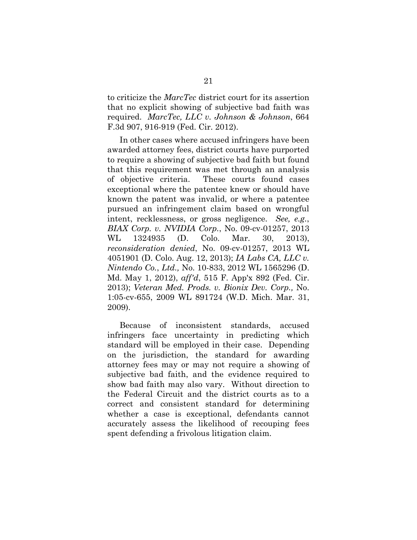to criticize the *MarcTec* district court for its assertion that no explicit showing of subjective bad faith was required. *MarcTec, LLC v. Johnson & Johnson*, 664 F.3d 907, 916-919 (Fed. Cir. 2012).

In other cases where accused infringers have been awarded attorney fees, district courts have purported to require a showing of subjective bad faith but found that this requirement was met through an analysis of objective criteria. These courts found cases exceptional where the patentee knew or should have known the patent was invalid, or where a patentee pursued an infringement claim based on wrongful intent, recklessness, or gross negligence. *See, e.g.*, *BIAX Corp. v. NVIDIA Corp.*, No. 09-cv-01257, 2013 WL 1324935 (D. Colo. Mar. 30, 2013), *reconsideration denied*, No. 09-cv-01257, 2013 WL 4051901 (D. Colo. Aug. 12, 2013); *IA Labs CA, LLC v. Nintendo Co.*, *Ltd.,* No. 10-833, 2012 WL 1565296 (D. Md. May 1, 2012), *aff'd*, 515 F. App'x 892 (Fed. Cir. 2013); *Veteran Med. Prods. v. Bionix Dev. Corp.,* No. 1:05-cv-655, 2009 WL 891724 (W.D. Mich. Mar. 31, 2009).

Because of inconsistent standards, accused infringers face uncertainty in predicting which standard will be employed in their case. Depending on the jurisdiction, the standard for awarding attorney fees may or may not require a showing of subjective bad faith, and the evidence required to show bad faith may also vary. Without direction to the Federal Circuit and the district courts as to a correct and consistent standard for determining whether a case is exceptional, defendants cannot accurately assess the likelihood of recouping fees spent defending a frivolous litigation claim.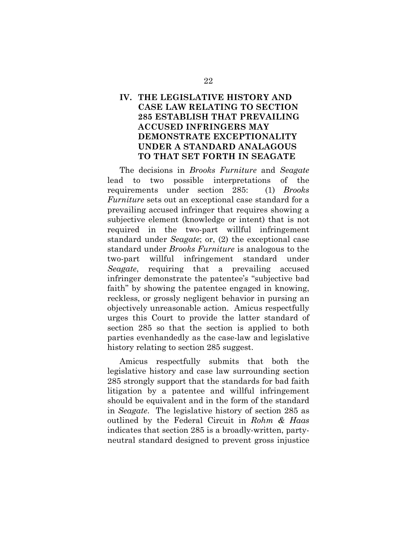## <span id="page-29-0"></span>**IV. THE LEGISLATIVE HISTORY AND CASE LAW RELATING TO SECTION 285 ESTABLISH THAT PREVAILING ACCUSED INFRINGERS MAY DEMONSTRATE EXCEPTIONALITY UNDER A STANDARD ANALAGOUS TO THAT SET FORTH IN SEAGATE**

The decisions in *Brooks Furniture* and *Seagate* lead to two possible interpretations of the requirements under section 285: (1) *Brooks Furniture* sets out an exceptional case standard for a prevailing accused infringer that requires showing a subjective element (knowledge or intent) that is not required in the two-part willful infringement standard under *Seagate*; or, (2) the exceptional case standard under *Brooks Furniture* is analogous to the two-part willful infringement standard under *Seagate*, requiring that a prevailing accused infringer demonstrate the patentee's "subjective bad faith" by showing the patentee engaged in knowing, reckless, or grossly negligent behavior in pursing an objectively unreasonable action. Amicus respectfully urges this Court to provide the latter standard of section 285 so that the section is applied to both parties evenhandedly as the case-law and legislative history relating to section 285 suggest.

Amicus respectfully submits that both the legislative history and case law surrounding section 285 strongly support that the standards for bad faith litigation by a patentee and willful infringement should be equivalent and in the form of the standard in *Seagate*. The legislative history of section 285 as outlined by the Federal Circuit in *Rohm & Haas* indicates that section 285 is a broadly-written, partyneutral standard designed to prevent gross injustice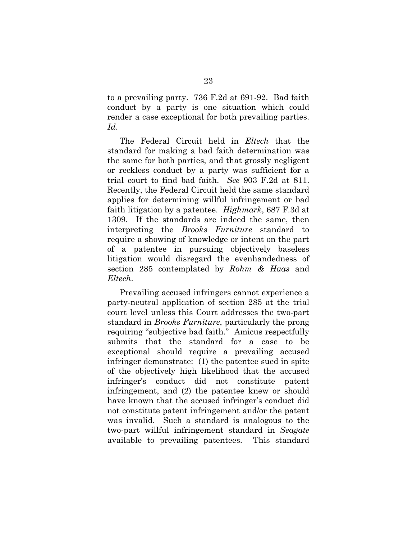to a prevailing party. 736 F.2d at 691-92. Bad faith conduct by a party is one situation which could render a case exceptional for both prevailing parties. *Id*.

The Federal Circuit held in *Eltech* that the standard for making a bad faith determination was the same for both parties, and that grossly negligent or reckless conduct by a party was sufficient for a trial court to find bad faith. *See* 903 F.2d at 811. Recently, the Federal Circuit held the same standard applies for determining willful infringement or bad faith litigation by a patentee. *Highmark*, 687 F.3d at 1309. If the standards are indeed the same, then interpreting the *Brooks Furniture* standard to require a showing of knowledge or intent on the part of a patentee in pursuing objectively baseless litigation would disregard the evenhandedness of section 285 contemplated by *Rohm & Haas* and *Eltech*.

Prevailing accused infringers cannot experience a party-neutral application of section 285 at the trial court level unless this Court addresses the two-part standard in *Brooks Furniture*, particularly the prong requiring "subjective bad faith." Amicus respectfully submits that the standard for a case to be exceptional should require a prevailing accused infringer demonstrate: (1) the patentee sued in spite of the objectively high likelihood that the accused infringer's conduct did not constitute patent infringement, and (2) the patentee knew or should have known that the accused infringer's conduct did not constitute patent infringement and/or the patent was invalid. Such a standard is analogous to the two-part willful infringement standard in *Seagate* available to prevailing patentees. This standard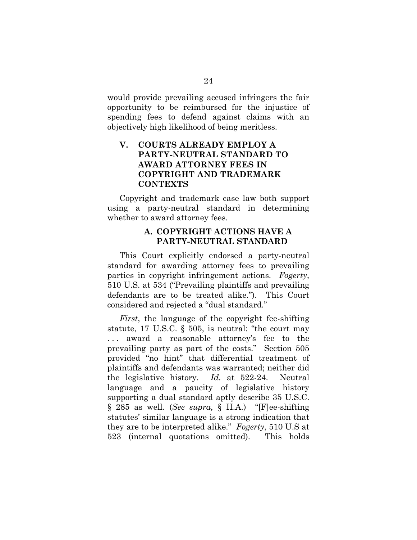would provide prevailing accused infringers the fair opportunity to be reimbursed for the injustice of spending fees to defend against claims with an objectively high likelihood of being meritless.

## <span id="page-31-0"></span>**V. COURTS ALREADY EMPLOY A PARTY-NEUTRAL STANDARD TO AWARD ATTORNEY FEES IN COPYRIGHT AND TRADEMARK CONTEXTS**

Copyright and trademark case law both support using a party-neutral standard in determining whether to award attorney fees.

#### **A. COPYRIGHT ACTIONS HAVE A PARTY-NEUTRAL STANDARD**

<span id="page-31-1"></span>This Court explicitly endorsed a party-neutral standard for awarding attorney fees to prevailing parties in copyright infringement actions. *Fogerty*, 510 U.S. at 534 ("Prevailing plaintiffs and prevailing defendants are to be treated alike."). This Court considered and rejected a "dual standard."

*First*, the language of the copyright fee-shifting statute, 17 U.S.C. § 505, is neutral: "the court may . . . award a reasonable attorney's fee to the prevailing party as part of the costs." Section 505 provided "no hint" that differential treatment of plaintiffs and defendants was warranted; neither did the legislative history. *Id.* at 522-24. Neutral language and a paucity of legislative history supporting a dual standard aptly describe 35 U.S.C. § 285 as well. (*See supra,* § II.A.) "[F]ee-shifting statutes' similar language is a strong indication that they are to be interpreted alike." *Fogerty*, 510 U.S at 523 (internal quotations omitted). This holds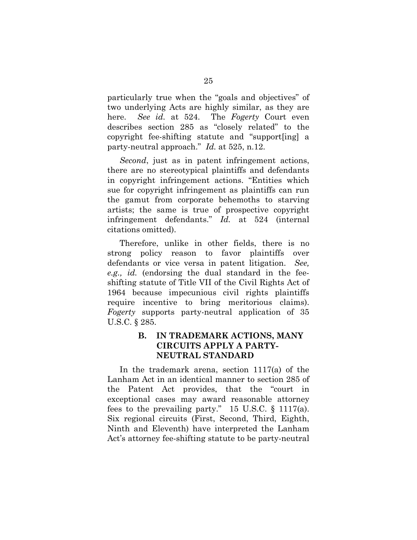particularly true when the "goals and objectives" of two underlying Acts are highly similar, as they are here. *See id.* at 524. The *Fogerty* Court even describes section 285 as "closely related" to the copyright fee-shifting statute and "support[ing] a party-neutral approach." *Id.* at 525, n.12.

*Second*, just as in patent infringement actions, there are no stereotypical plaintiffs and defendants in copyright infringement actions. "Entities which sue for copyright infringement as plaintiffs can run the gamut from corporate behemoths to starving artists; the same is true of prospective copyright infringement defendants." *Id.* at 524 (internal citations omitted).

Therefore, unlike in other fields, there is no strong policy reason to favor plaintiffs over defendants or vice versa in patent litigation. *See, e.g., id.* (endorsing the dual standard in the feeshifting statute of Title VII of the Civil Rights Act of 1964 because impecunious civil rights plaintiffs require incentive to bring meritorious claims). *Fogerty* supports party-neutral application of 35 U.S.C. § 285.

### <span id="page-32-0"></span>**B. IN TRADEMARK ACTIONS, MANY CIRCUITS APPLY A PARTY-NEUTRAL STANDARD**

In the trademark arena, section 1117(a) of the Lanham Act in an identical manner to section 285 of the Patent Act provides, that the "court in exceptional cases may award reasonable attorney fees to the prevailing party." 15 U.S.C.  $\S$  1117(a). Six regional circuits (First, Second, Third, Eighth, Ninth and Eleventh) have interpreted the Lanham Act's attorney fee-shifting statute to be party-neutral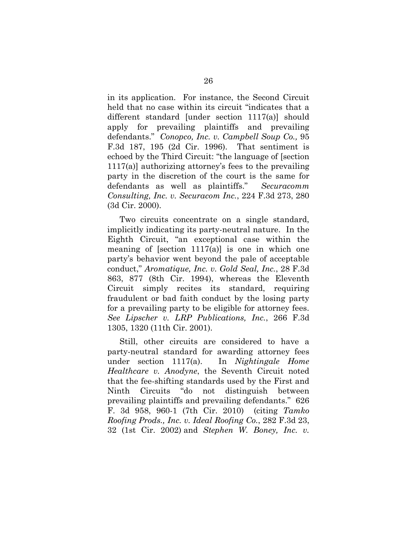in its application. For instance, the Second Circuit held that no case within its circuit "indicates that a different standard [under section 1117(a)] should apply for prevailing plaintiffs and prevailing defendants." *Conopco, Inc. v. Campbell Soup Co.,* 95 F.3d 187, 195 (2d Cir. 1996). That sentiment is echoed by the Third Circuit: "the language of [section 1117(a)] authorizing attorney's fees to the prevailing party in the discretion of the court is the same for defendants as well as plaintiffs." *Securacomm Consulting, Inc. v. Securacom Inc.*, 224 F.3d 273, 280 (3d Cir. 2000).

Two circuits concentrate on a single standard, implicitly indicating its party-neutral nature. In the Eighth Circuit, "an exceptional case within the meaning of [section  $1117(a)$ ] is one in which one party's behavior went beyond the pale of acceptable conduct," *Aromatique, Inc. v. Gold Seal, Inc.*, 28 F.3d 863, 877 (8th Cir. 1994), whereas the Eleventh Circuit simply recites its standard, requiring fraudulent or bad faith conduct by the losing party for a prevailing party to be eligible for attorney fees. *See Lipscher v. LRP Publications, Inc.*, 266 F.3d 1305, 1320 (11th Cir. 2001).

Still, other circuits are considered to have a party-neutral standard for awarding attorney fees under section 1117(a). In *Nightingale Home Healthcare v. Anodyne*, the Seventh Circuit noted that the fee-shifting standards used by the First and Ninth Circuits "do not distinguish between prevailing plaintiffs and prevailing defendants." 626 F. 3d 958, 960-1 (7th Cir. 2010) (citing *Tamko Roofing Prods., Inc. v. Ideal Roofing Co.*, 282 F.3d 23, 32 (1st Cir. 2002) and *Stephen W. Boney, Inc. v.*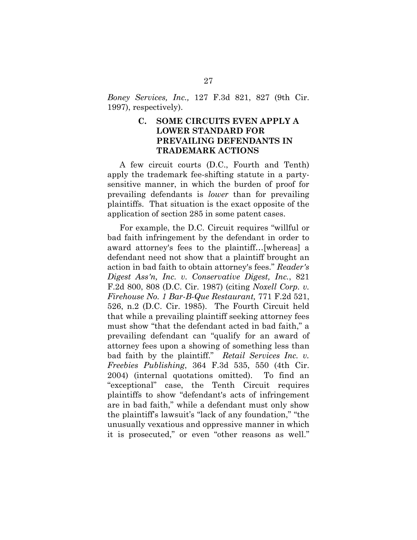<span id="page-34-0"></span>*Boney Services, Inc.,* 127 F.3d 821, 827 (9th Cir. 1997), respectively).

### **C. SOME CIRCUITS EVEN APPLY A LOWER STANDARD FOR PREVAILING DEFENDANTS IN TRADEMARK ACTIONS**

A few circuit courts (D.C., Fourth and Tenth) apply the trademark fee-shifting statute in a partysensitive manner, in which the burden of proof for prevailing defendants is *lower* than for prevailing plaintiffs. That situation is the exact opposite of the application of section 285 in some patent cases.

For example, the D.C. Circuit requires "willful or bad faith infringement by the defendant in order to award attorney's fees to the plaintiff…[whereas] a defendant need not show that a plaintiff brought an action in bad faith to obtain attorney's fees." *Reader's Digest Ass'n, Inc. v. Conservative Digest, Inc.*, 821 F.2d 800, 808 (D.C. Cir. 1987) (citing *[Noxell Corp. v.](https://a.next.westlaw.com/Link/Document/FullText?findType=Y&serNum=1985142393&pubNum=350&originationContext=document&transitionType=DocumentItem&contextData=(sc.UserEnteredCitation)#co_pp_sp_350_526)  [Firehouse No. 1 Bar-B-Que Restaurant,](https://a.next.westlaw.com/Link/Document/FullText?findType=Y&serNum=1985142393&pubNum=350&originationContext=document&transitionType=DocumentItem&contextData=(sc.UserEnteredCitation)#co_pp_sp_350_526)* 771 F.2d 521, [526, n.2 \(D.C. Cir. 1985\).](https://a.next.westlaw.com/Link/Document/FullText?findType=Y&serNum=1985142393&pubNum=350&originationContext=document&transitionType=DocumentItem&contextData=(sc.UserEnteredCitation)#co_pp_sp_350_526) The Fourth Circuit held that while a prevailing plaintiff seeking attorney fees must show "that the defendant acted in bad faith," a prevailing defendant can "qualify for an award of attorney fees upon a showing of something less than bad faith by the plaintiff." *Retail Services Inc. v. Freebies Publishing*, 364 F.3d 535, 550 (4th Cir. 2004) (internal quotations omitted). To find an "exceptional" case, the Tenth Circuit requires plaintiffs to show "defendant's acts of infringement are in bad faith," while a defendant must only show the plaintiff's lawsuit's "lack of any foundation," "the unusually vexatious and oppressive manner in which it is prosecuted," or even "other reasons as well."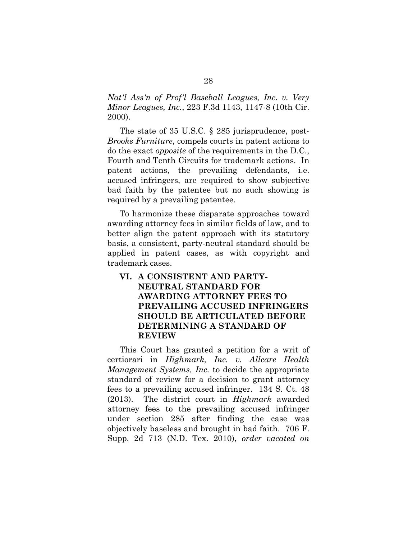*Nat'l Ass'n of Prof'l Baseball Leagues, Inc. v. Very Minor Leagues, Inc.*, 223 F.3d 1143, 1147-8 (10th Cir. 2000).

The state of 35 U.S.C. § 285 jurisprudence, post-*Brooks Furniture*, compels courts in patent actions to do the exact *opposite* of the requirements in the D.C., Fourth and Tenth Circuits for trademark actions. In patent actions, the prevailing defendants, i.e. accused infringers, are required to show subjective bad faith by the patentee but no such showing is required by a prevailing patentee.

To harmonize these disparate approaches toward awarding attorney fees in similar fields of law, and to better align the patent approach with its statutory basis, a consistent, party-neutral standard should be applied in patent cases, as with copyright and trademark cases.

## <span id="page-35-0"></span>**VI. A CONSISTENT AND PARTY-NEUTRAL STANDARD FOR AWARDING ATTORNEY FEES TO PREVAILING ACCUSED INFRINGERS SHOULD BE ARTICULATED BEFORE DETERMINING A STANDARD OF REVIEW**

This Court has granted a petition for a writ of certiorari in *Highmark, Inc. v. Allcare Health Management Systems, Inc.* to decide the appropriate standard of review for a decision to grant attorney fees to a prevailing accused infringer. 134 S. Ct. 48 (2013). The district court in *Highmark* awarded attorney fees to the prevailing accused infringer under section 285 after finding the case was objectively baseless and brought in bad faith. 706 F. Supp. 2d 713 (N.D. Tex. 2010), *order vacated on*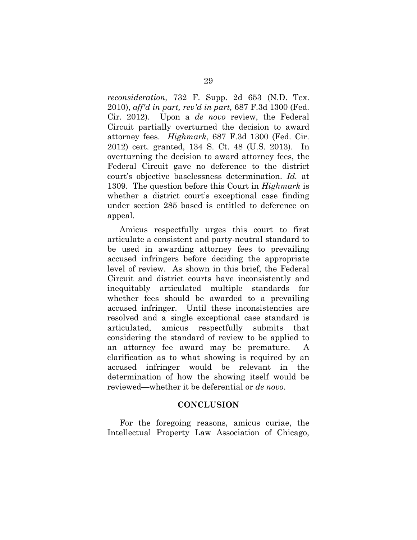*reconsideration,* 732 F. Supp. 2d 653 (N.D. Tex. 2010), *aff'd in part, rev'd in part,* 687 F.3d 1300 (Fed. Cir. 2012). Upon a *de novo* review, the Federal Circuit partially overturned the decision to award attorney fees. *Highmark*, 687 F.3d 1300 (Fed. Cir. 2012) cert. granted, 134 S. Ct. 48 (U.S. 2013). In overturning the decision to award attorney fees, the Federal Circuit gave no deference to the district court's objective baselessness determination. *Id.* at 1309. The question before this Court in *Highmark* is whether a district court's exceptional case finding under section 285 based is entitled to deference on appeal.

Amicus respectfully urges this court to first articulate a consistent and party-neutral standard to be used in awarding attorney fees to prevailing accused infringers before deciding the appropriate level of review. As shown in this brief, the Federal Circuit and district courts have inconsistently and inequitably articulated multiple standards for whether fees should be awarded to a prevailing accused infringer. Until these inconsistencies are resolved and a single exceptional case standard is articulated, amicus respectfully submits that considering the standard of review to be applied to an attorney fee award may be premature. A clarification as to what showing is required by an accused infringer would be relevant in the determination of how the showing itself would be reviewed—whether it be deferential or *de novo*.

#### **CONCLUSION**

<span id="page-36-0"></span>For the foregoing reasons, amicus curiae, the Intellectual Property Law Association of Chicago,